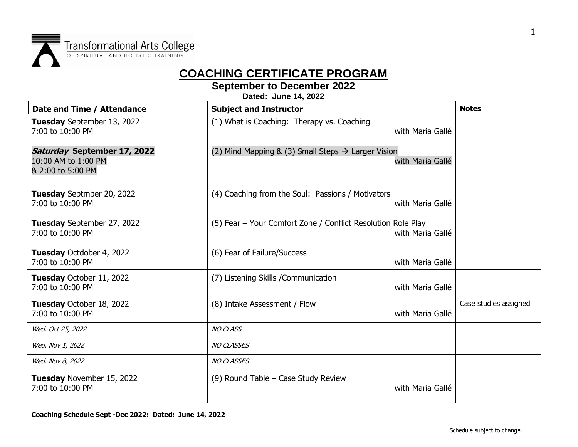

## **COACHING CERTIFICATE PROGRAM**

**September to December 2022**

**Dated: June 14, 2022**

| Date and Time / Attendance                                              | <b>Subject and Instructor</b>                                                      | <b>Notes</b>          |
|-------------------------------------------------------------------------|------------------------------------------------------------------------------------|-----------------------|
| Tuesday September 13, 2022<br>7:00 to 10:00 PM                          | (1) What is Coaching: Therapy vs. Coaching<br>with Maria Gallé                     |                       |
| Saturday September 17, 2022<br>10:00 AM to 1:00 PM<br>& 2:00 to 5:00 PM | (2) Mind Mapping & (3) Small Steps $\rightarrow$ Larger Vision<br>with Maria Gallé |                       |
| Tuesday Septmber 20, 2022<br>7:00 to 10:00 PM                           | (4) Coaching from the Soul: Passions / Motivators<br>with Maria Gallé              |                       |
| Tuesday September 27, 2022<br>7:00 to 10:00 PM                          | (5) Fear - Your Comfort Zone / Conflict Resolution Role Play<br>with Maria Gallé   |                       |
| Tuesday Octdober 4, 2022<br>7:00 to 10:00 PM                            | (6) Fear of Failure/Success<br>with Maria Gallé                                    |                       |
| Tuesday October 11, 2022<br>7:00 to 10:00 PM                            | (7) Listening Skills / Communication<br>with Maria Gallé                           |                       |
| Tuesday October 18, 2022<br>7:00 to 10:00 PM                            | (8) Intake Assessment / Flow<br>with Maria Gallé                                   | Case studies assigned |
| Wed. Oct 25, 2022                                                       | <b>NO CLASS</b>                                                                    |                       |
| Wed. Nov 1, 2022                                                        | <b>NO CLASSES</b>                                                                  |                       |
| Wed. Nov 8, 2022                                                        | <b>NO CLASSES</b>                                                                  |                       |
| Tuesday November 15, 2022<br>7:00 to 10:00 PM                           | (9) Round Table - Case Study Review<br>with Maria Gallé                            |                       |